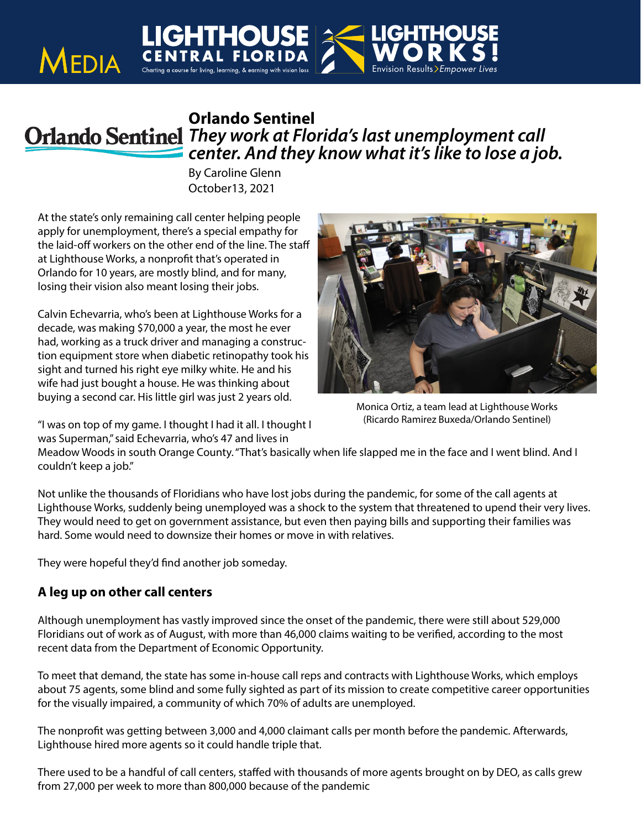## **Orlando Sentinel** *They work at Florida's last unemployment call center. And they know what it's like to lose a job.*

By Caroline Glenn October13, 2021

At the state's only remaining call center helping people apply for unemployment, there's a special empathy for the laid-off workers on the other end of the line. The staff at Lighthouse Works, a nonprofit that's operated in Orlando for 10 years, are mostly blind, and for many, losing their vision also meant losing their jobs.

**LIGHTHOL**<br>MEDIA CENTRAL FLOR

Calvin Echevarria, who's been at Lighthouse Works for a decade, was making \$70,000 a year, the most he ever had, working as a truck driver and managing a construction equipment store when diabetic retinopathy took his sight and turned his right eye milky white. He and his wife had just bought a house. He was thinking about buying a second car. His little girl was just 2 years old.

"I was on top of my game. I thought I had it all. I thought I was Superman," said Echevarria, who's 47 and lives in



Monica Ortiz, a team lead at Lighthouse Works (Ricardo Ramirez Buxeda/Orlando Sentinel)

Meadow Woods in south Orange County. "That's basically when life slapped me in the face and I went blind. And I couldn't keep a job."

Not unlike the thousands of Floridians who have lost jobs during the pandemic, for some of the call agents at Lighthouse Works, suddenly being unemployed was a shock to the system that threatened to upend their very lives. They would need to get on government assistance, but even then paying bills and supporting their families was hard. Some would need to downsize their homes or move in with relatives.

They were hopeful they'd find another job someday.

## **A leg up on other call centers**

Although unemployment has vastly improved since the onset of the pandemic, there were still about 529,000 Floridians out of work as of August, with more than 46,000 claims waiting to be verified, according to the most recent data from the Department of Economic Opportunity.

To meet that demand, the state has some in-house call reps and contracts with Lighthouse Works, which employs about 75 agents, some blind and some fully sighted as part of its mission to create competitive career opportunities for the visually impaired, a community of which 70% of adults are unemployed.

The nonprofit was getting between 3,000 and 4,000 claimant calls per month before the pandemic. Afterwards, Lighthouse hired more agents so it could handle triple that.

There used to be a handful of call centers, staffed with thousands of more agents brought on by DEO, as calls grew from 27,000 per week to more than 800,000 because of the pandemic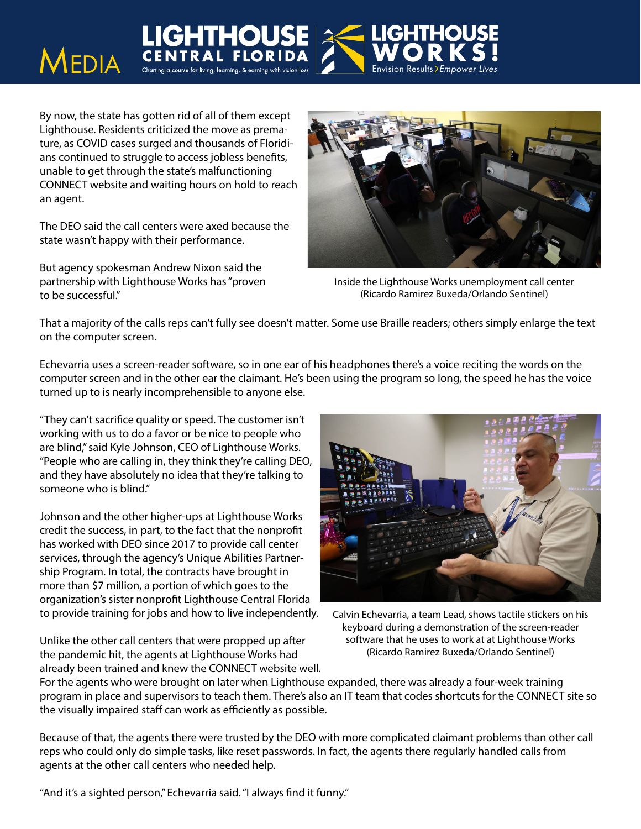By now, the state has gotten rid of all of them except Lighthouse. Residents criticized the move as premature, as COVID cases surged and thousands of Floridians continued to struggle to access jobless benefits, unable to get through the state's malfunctioning CONNECT website and waiting hours on hold to reach an agent.

**MEDIA** CENTRAL FLORID<br>MEDIA CENTRAL FLORID

The DEO said the call centers were axed because the state wasn't happy with their performance.

But agency spokesman Andrew Nixon said the partnership with Lighthouse Works has "proven to be successful."



Inside the Lighthouse Works unemployment call center (Ricardo Ramirez Buxeda/Orlando Sentinel)

That a majority of the calls reps can't fully see doesn't matter. Some use Braille readers; others simply enlarge the text on the computer screen.

Echevarria uses a screen-reader software, so in one ear of his headphones there's a voice reciting the words on the computer screen and in the other ear the claimant. He's been using the program so long, the speed he has the voice turned up to is nearly incomprehensible to anyone else.

"They can't sacrifice quality or speed. The customer isn't working with us to do a favor or be nice to people who are blind," said Kyle Johnson, CEO of Lighthouse Works. "People who are calling in, they think they're calling DEO, and they have absolutely no idea that they're talking to someone who is blind."

Johnson and the other higher-ups at Lighthouse Works credit the success, in part, to the fact that the nonprofit has worked with DEO since 2017 to provide call center services, through the agency's Unique Abilities Partnership Program. In total, the contracts have brought in more than \$7 million, a portion of which goes to the organization's sister nonprofit Lighthouse Central Florida to provide training for jobs and how to live independently.

Unlike the other call centers that were propped up after the pandemic hit, the agents at Lighthouse Works had already been trained and knew the CONNECT website well.



Calvin Echevarria, a team Lead, shows tactile stickers on his keyboard during a demonstration of the screen-reader software that he uses to work at at Lighthouse Works (Ricardo Ramirez Buxeda/Orlando Sentinel)

For the agents who were brought on later when Lighthouse expanded, there was already a four-week training program in place and supervisors to teach them. There's also an IT team that codes shortcuts for the CONNECT site so the visually impaired staff can work as efficiently as possible.

Because of that, the agents there were trusted by the DEO with more complicated claimant problems than other call reps who could only do simple tasks, like reset passwords. In fact, the agents there regularly handled calls from agents at the other call centers who needed help.

"And it's a sighted person," Echevarria said. "I always find it funny."